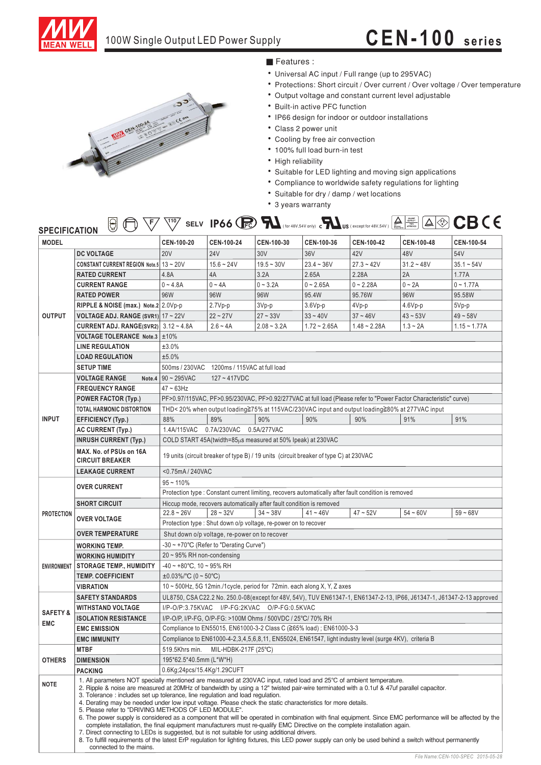

## 100W Single Output LED Power Supply **CEN-100 series**



### ■ Features :

- Universal AC input / Full range (up to 295VAC)
- Protections: Short circuit / Over current / Over voltage / Over temperature
- Output voltage and constant current level adjustable
- Built-in active PFC function
- IP66 design for indoor or outdoor installations
- Class 2 power unit
- Cooling by free air convection
- 100% full load burn-in test
- High reliability
- Suitable for LED lighting and moving sign applications
- Compliance to worldwide safety regulations for lighting
- Suitable for dry / damp / wet locations
- 3 years warranty

| <b>SPECIFICATION</b> | 'Y) | $\sqrt{110/}$<br><b>SELV</b> | IP66 $R$ |  | ▵<br>(for 48V,54V only) c US (except for 48V,54V ) $\frac{1}{2}$ | $\sim$ $\ll$ $\sim$<br>$\mathbb{Z}$ .<br>The Theory Type | CB ( |  |
|----------------------|-----|------------------------------|----------|--|------------------------------------------------------------------|----------------------------------------------------------|------|--|
|                      |     |                              |          |  |                                                                  |                                                          |      |  |

| <b>MODEL</b>           |                                                                                                                                                                                                                                                                                                                                                                                                                                                                                                                                                                                                                                                                                                                                                                                                                                                                                                                    | CEN-100-20                                                                                                                                                                                        | CEN-100-24                                                                                             | CEN-100-30    | CEN-100-36     | CEN-100-42     | CEN-100-48   | CEN-100-54     |  |  |
|------------------------|--------------------------------------------------------------------------------------------------------------------------------------------------------------------------------------------------------------------------------------------------------------------------------------------------------------------------------------------------------------------------------------------------------------------------------------------------------------------------------------------------------------------------------------------------------------------------------------------------------------------------------------------------------------------------------------------------------------------------------------------------------------------------------------------------------------------------------------------------------------------------------------------------------------------|---------------------------------------------------------------------------------------------------------------------------------------------------------------------------------------------------|--------------------------------------------------------------------------------------------------------|---------------|----------------|----------------|--------------|----------------|--|--|
|                        | <b>DC VOLTAGE</b>                                                                                                                                                                                                                                                                                                                                                                                                                                                                                                                                                                                                                                                                                                                                                                                                                                                                                                  | <b>20V</b>                                                                                                                                                                                        | <b>24V</b>                                                                                             | 30V           | 36V            | 42V            | 48V          | 54V            |  |  |
| <b>OUTPUT</b>          | CONSTANT CURRENT REGION Note.5 13~20V                                                                                                                                                                                                                                                                                                                                                                                                                                                                                                                                                                                                                                                                                                                                                                                                                                                                              |                                                                                                                                                                                                   | $15.6 - 24V$                                                                                           | $19.5 - 30V$  | $23.4 - 36V$   | $27.3 - 42V$   | $31.2 - 48V$ | $35.1 - 54V$   |  |  |
|                        | <b>RATED CURRENT</b>                                                                                                                                                                                                                                                                                                                                                                                                                                                                                                                                                                                                                                                                                                                                                                                                                                                                                               | 4.8A                                                                                                                                                                                              | 4A                                                                                                     | 3.2A          | 2.65A          | 2.28A          | 2A           | 1.77A          |  |  |
|                        | <b>CURRENT RANGE</b>                                                                                                                                                                                                                                                                                                                                                                                                                                                                                                                                                                                                                                                                                                                                                                                                                                                                                               | $0 - 4.8A$                                                                                                                                                                                        | $0 - 4A$                                                                                               | $0 - 3.2A$    | $0 - 2.65A$    | $0 - 2.28A$    | $0 - 2A$     | $0 - 1.77A$    |  |  |
|                        | <b>RATED POWER</b>                                                                                                                                                                                                                                                                                                                                                                                                                                                                                                                                                                                                                                                                                                                                                                                                                                                                                                 | 96W                                                                                                                                                                                               | 96W                                                                                                    | 96W           | 95.4W          | 95.76W         | 96W          | 95.58W         |  |  |
|                        | RIPPLE & NOISE (max.) Note.2 2.0Vp-p                                                                                                                                                                                                                                                                                                                                                                                                                                                                                                                                                                                                                                                                                                                                                                                                                                                                               |                                                                                                                                                                                                   | $2.7Vp-p$                                                                                              | 3Vp-p         | $3.6Vp-p$      | 4Vp-p          | $4.6Vp-p$    | $5Vp-p$        |  |  |
|                        | <b>VOLTAGE ADJ. RANGE (SVR1)</b> $17 - 22V$                                                                                                                                                                                                                                                                                                                                                                                                                                                                                                                                                                                                                                                                                                                                                                                                                                                                        |                                                                                                                                                                                                   | $22 - 27V$                                                                                             | $27 - 33V$    | $33 - 40V$     | $37 - 46V$     | $43 - 53V$   | $49 - 58V$     |  |  |
|                        | <b>CURRENT ADJ. RANGE(SVR2)</b> $3.12 \sim 4.8$ A                                                                                                                                                                                                                                                                                                                                                                                                                                                                                                                                                                                                                                                                                                                                                                                                                                                                  |                                                                                                                                                                                                   | $2.6 - 4A$                                                                                             | $2.08 - 3.2A$ | $1.72 - 2.65A$ | $1.48 - 2.28A$ | $1.3 - 2A$   | $1.15 - 1.77A$ |  |  |
|                        | <b>VOLTAGE TOLERANCE Note.3 ±10%</b>                                                                                                                                                                                                                                                                                                                                                                                                                                                                                                                                                                                                                                                                                                                                                                                                                                                                               |                                                                                                                                                                                                   |                                                                                                        |               |                |                |              |                |  |  |
|                        | <b>LINE REGULATION</b>                                                                                                                                                                                                                                                                                                                                                                                                                                                                                                                                                                                                                                                                                                                                                                                                                                                                                             | ±3.0%                                                                                                                                                                                             |                                                                                                        |               |                |                |              |                |  |  |
|                        | <b>LOAD REGULATION</b>                                                                                                                                                                                                                                                                                                                                                                                                                                                                                                                                                                                                                                                                                                                                                                                                                                                                                             | ±5.0%                                                                                                                                                                                             |                                                                                                        |               |                |                |              |                |  |  |
|                        | <b>SETUP TIME</b>                                                                                                                                                                                                                                                                                                                                                                                                                                                                                                                                                                                                                                                                                                                                                                                                                                                                                                  | 500ms / 230VAC 1200ms / 115VAC at full load                                                                                                                                                       |                                                                                                        |               |                |                |              |                |  |  |
|                        | <b>VOLTAGE RANGE</b>                                                                                                                                                                                                                                                                                                                                                                                                                                                                                                                                                                                                                                                                                                                                                                                                                                                                                               | Note.4 $\vert$ 90 ~ 295VAC<br>$127 - 417VDC$                                                                                                                                                      |                                                                                                        |               |                |                |              |                |  |  |
| <b>FREQUENCY RANGE</b> |                                                                                                                                                                                                                                                                                                                                                                                                                                                                                                                                                                                                                                                                                                                                                                                                                                                                                                                    | $47 - 63$ Hz                                                                                                                                                                                      |                                                                                                        |               |                |                |              |                |  |  |
|                        | <b>POWER FACTOR (Typ.)</b>                                                                                                                                                                                                                                                                                                                                                                                                                                                                                                                                                                                                                                                                                                                                                                                                                                                                                         | PF>0.97/115VAC, PF>0.95/230VAC, PF>0.92/277VAC at full load (Please refer to "Power Factor Characteristic" curve)                                                                                 |                                                                                                        |               |                |                |              |                |  |  |
|                        | TOTAL HARMONIC DISTORTION                                                                                                                                                                                                                                                                                                                                                                                                                                                                                                                                                                                                                                                                                                                                                                                                                                                                                          | THD< 20% when output loading≧75% at 115VAC/230VAC input and output loading≧80% at 277VAC input                                                                                                    |                                                                                                        |               |                |                |              |                |  |  |
| <b>INPUT</b>           | EFFICIENCY (Typ.)                                                                                                                                                                                                                                                                                                                                                                                                                                                                                                                                                                                                                                                                                                                                                                                                                                                                                                  | 88%                                                                                                                                                                                               | 89%                                                                                                    | 90%           | 90%            | 90%            | 91%          | 91%            |  |  |
|                        | <b>AC CURRENT (Typ.)</b>                                                                                                                                                                                                                                                                                                                                                                                                                                                                                                                                                                                                                                                                                                                                                                                                                                                                                           | 1.4A/115VAC 0.7A/230VAC                                                                                                                                                                           |                                                                                                        | 0.5A/277VAC   |                |                |              |                |  |  |
|                        | <b>INRUSH CURRENT (Typ.)</b>                                                                                                                                                                                                                                                                                                                                                                                                                                                                                                                                                                                                                                                                                                                                                                                                                                                                                       | COLD START 45A(twidth=85µs measured at 50% Ipeak) at 230VAC                                                                                                                                       |                                                                                                        |               |                |                |              |                |  |  |
|                        | MAX. No. of PSUs on 16A<br><b>CIRCUIT BREAKER</b>                                                                                                                                                                                                                                                                                                                                                                                                                                                                                                                                                                                                                                                                                                                                                                                                                                                                  | 19 units (circuit breaker of type B) / 19 units (circuit breaker of type C) at 230VAC                                                                                                             |                                                                                                        |               |                |                |              |                |  |  |
|                        |                                                                                                                                                                                                                                                                                                                                                                                                                                                                                                                                                                                                                                                                                                                                                                                                                                                                                                                    |                                                                                                                                                                                                   |                                                                                                        |               |                |                |              |                |  |  |
|                        | <b>LEAKAGE CURRENT</b>                                                                                                                                                                                                                                                                                                                                                                                                                                                                                                                                                                                                                                                                                                                                                                                                                                                                                             | <0.75mA/240VAC                                                                                                                                                                                    |                                                                                                        |               |                |                |              |                |  |  |
|                        | <b>OVER CURRENT</b>                                                                                                                                                                                                                                                                                                                                                                                                                                                                                                                                                                                                                                                                                                                                                                                                                                                                                                | $95 - 110%$                                                                                                                                                                                       |                                                                                                        |               |                |                |              |                |  |  |
|                        |                                                                                                                                                                                                                                                                                                                                                                                                                                                                                                                                                                                                                                                                                                                                                                                                                                                                                                                    | Protection type : Constant current limiting, recovers automatically after fault condition is removed<br>Hiccup mode, recovers automatically after fault condition is removed                      |                                                                                                        |               |                |                |              |                |  |  |
| <b>PROTECTION</b>      | <b>SHORT CIRCUIT</b>                                                                                                                                                                                                                                                                                                                                                                                                                                                                                                                                                                                                                                                                                                                                                                                                                                                                                               | $22.8 - 26V$                                                                                                                                                                                      | $28 - 32V$                                                                                             | $34 - 38V$    | $41 - 46V$     | $47 - 52V$     | $54 - 60V$   | $59 - 68V$     |  |  |
|                        | <b>OVER VOLTAGE</b>                                                                                                                                                                                                                                                                                                                                                                                                                                                                                                                                                                                                                                                                                                                                                                                                                                                                                                |                                                                                                                                                                                                   |                                                                                                        |               |                |                |              |                |  |  |
|                        | <b>OVER TEMPERATURE</b>                                                                                                                                                                                                                                                                                                                                                                                                                                                                                                                                                                                                                                                                                                                                                                                                                                                                                            | Protection type : Shut down o/p voltage, re-power on to recover                                                                                                                                   |                                                                                                        |               |                |                |              |                |  |  |
|                        |                                                                                                                                                                                                                                                                                                                                                                                                                                                                                                                                                                                                                                                                                                                                                                                                                                                                                                                    | Shut down o/p voltage, re-power on to recover                                                                                                                                                     |                                                                                                        |               |                |                |              |                |  |  |
|                        | WORKING TEMP.                                                                                                                                                                                                                                                                                                                                                                                                                                                                                                                                                                                                                                                                                                                                                                                                                                                                                                      | -30 ~ +70°C (Refer to "Derating Curve")                                                                                                                                                           |                                                                                                        |               |                |                |              |                |  |  |
|                        | <b>WORKING HUMIDITY</b>                                                                                                                                                                                                                                                                                                                                                                                                                                                                                                                                                                                                                                                                                                                                                                                                                                                                                            | $20 \sim 95\%$ RH non-condensing                                                                                                                                                                  |                                                                                                        |               |                |                |              |                |  |  |
|                        | ENVIRONMENT STORAGE TEMP., HUMIDITY                                                                                                                                                                                                                                                                                                                                                                                                                                                                                                                                                                                                                                                                                                                                                                                                                                                                                | $-40 \sim +80^{\circ}$ C, 10 ~ 95% RH                                                                                                                                                             |                                                                                                        |               |                |                |              |                |  |  |
|                        | <b>TEMP. COEFFICIENT</b>                                                                                                                                                                                                                                                                                                                                                                                                                                                                                                                                                                                                                                                                                                                                                                                                                                                                                           | $\pm 0.03\%$ °C (0 ~ 50 °C)                                                                                                                                                                       |                                                                                                        |               |                |                |              |                |  |  |
|                        | <b>VIBRATION</b>                                                                                                                                                                                                                                                                                                                                                                                                                                                                                                                                                                                                                                                                                                                                                                                                                                                                                                   | 10 ~ 500Hz, 5G 12min./1cycle, period for 72min. each along X, Y, Z axes<br>UL8750, CSA C22.2 No. 250.0-08(except for 48V, 54V), TUV EN61347-1, EN61347-2-13, IP66, J61347-1, J61347-2-13 approved |                                                                                                        |               |                |                |              |                |  |  |
|                        | <b>SAFETY STANDARDS</b>                                                                                                                                                                                                                                                                                                                                                                                                                                                                                                                                                                                                                                                                                                                                                                                                                                                                                            |                                                                                                                                                                                                   |                                                                                                        |               |                |                |              |                |  |  |
| <b>SAFETY &amp;</b>    | <b>WITHSTAND VOLTAGE</b>                                                                                                                                                                                                                                                                                                                                                                                                                                                                                                                                                                                                                                                                                                                                                                                                                                                                                           | I/P-O/P:3.75KVAC I/P-FG:2KVAC O/P-FG:0.5KVAC                                                                                                                                                      |                                                                                                        |               |                |                |              |                |  |  |
| <b>EMC</b>             | <b>ISOLATION RESISTANCE</b>                                                                                                                                                                                                                                                                                                                                                                                                                                                                                                                                                                                                                                                                                                                                                                                                                                                                                        | I/P-O/P, I/P-FG, O/P-FG: >100M Ohms / 500VDC / 25°C/ 70% RH                                                                                                                                       |                                                                                                        |               |                |                |              |                |  |  |
|                        | <b>EMC EMISSION</b>                                                                                                                                                                                                                                                                                                                                                                                                                                                                                                                                                                                                                                                                                                                                                                                                                                                                                                | Compliance to EN55015, EN61000-3-2 Class C (≧65% load); EN61000-3-3                                                                                                                               |                                                                                                        |               |                |                |              |                |  |  |
|                        | <b>EMC IMMUNITY</b>                                                                                                                                                                                                                                                                                                                                                                                                                                                                                                                                                                                                                                                                                                                                                                                                                                                                                                |                                                                                                                                                                                                   | Compliance to EN61000-4-2,3,4,5,6,8,11, EN55024, EN61547, light industry level (surge 4KV), criteria B |               |                |                |              |                |  |  |
|                        | <b>MTBF</b>                                                                                                                                                                                                                                                                                                                                                                                                                                                                                                                                                                                                                                                                                                                                                                                                                                                                                                        | MIL-HDBK-217F $(25^{\circ}C)$<br>519.5Khrs min.                                                                                                                                                   |                                                                                                        |               |                |                |              |                |  |  |
| <b>OTHERS</b>          | <b>DIMENSION</b>                                                                                                                                                                                                                                                                                                                                                                                                                                                                                                                                                                                                                                                                                                                                                                                                                                                                                                   | 195*62.5*40.5mm (L*W*H)                                                                                                                                                                           |                                                                                                        |               |                |                |              |                |  |  |
|                        | <b>PACKING</b>                                                                                                                                                                                                                                                                                                                                                                                                                                                                                                                                                                                                                                                                                                                                                                                                                                                                                                     | 0.6Kg;24pcs/15.4Kg/1.29CUFT                                                                                                                                                                       |                                                                                                        |               |                |                |              |                |  |  |
| <b>NOTE</b>            | 1. All parameters NOT specially mentioned are measured at 230VAC input, rated load and 25°C of ambient temperature.<br>2. Ripple & noise are measured at 20MHz of bandwidth by using a 12" twisted pair-wire terminated with a 0.1uf & 47uf parallel capacitor.<br>3. Tolerance: includes set up tolerance, line regulation and load regulation.<br>4. Derating may be needed under low input voltage. Please check the static characteristics for more details.<br>5. Please refer to "DRIVING METHODS OF LED MODULE".<br>6. The power supply is considered as a component that will be operated in combination with final equipment. Since EMC performance will be affected by the<br>complete installation, the final equipment manufacturers must re-qualify EMC Directive on the complete installation again.<br>7. Direct connecting to LEDs is suggested, but is not suitable for using additional drivers. |                                                                                                                                                                                                   |                                                                                                        |               |                |                |              |                |  |  |
|                        | connected to the mains.                                                                                                                                                                                                                                                                                                                                                                                                                                                                                                                                                                                                                                                                                                                                                                                                                                                                                            | 8. To fulfill requirements of the latest ErP regulation for lighting fixtures, this LED power supply can only be used behind a switch without permanently                                         |                                                                                                        |               |                |                |              |                |  |  |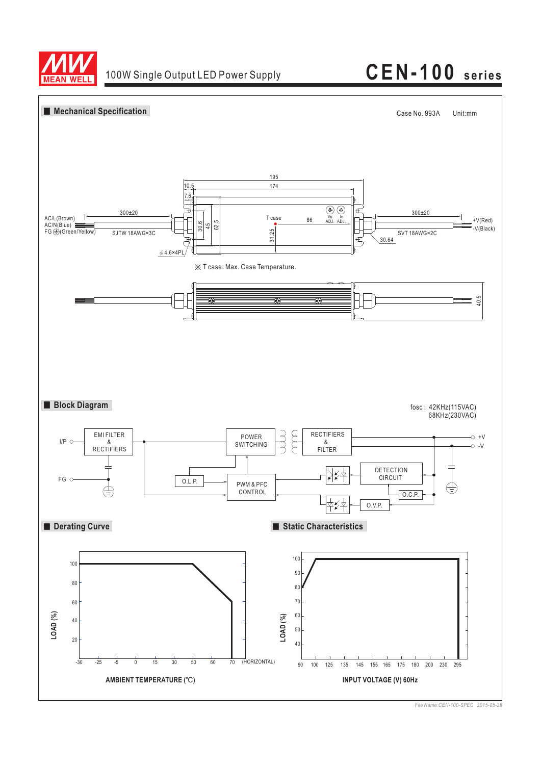

# 100W Single Output LED Power Supply **CEN-100 series**



*File Name:CEN-100-SPEC 2015-05-28*